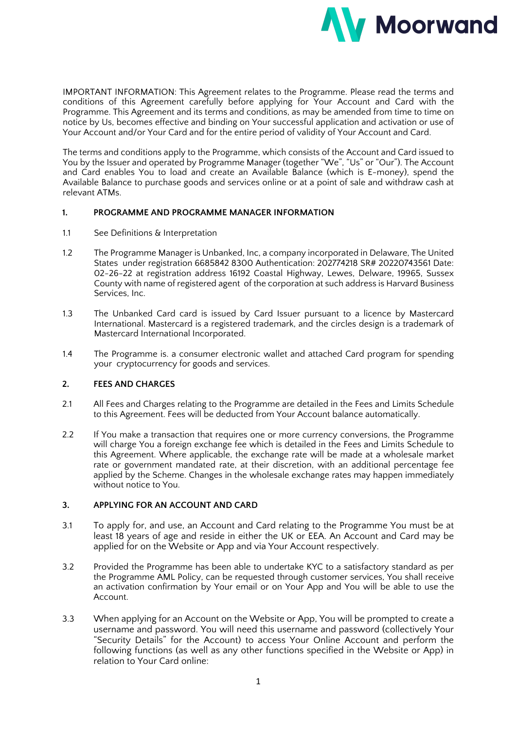

IMPORTANT INFORMATION: This Agreement relates to the Programme. Please read the terms and conditions of this Agreement carefully before applying for Your Account and Card with the Programme. This Agreement and its terms and conditions, as may be amended from time to time on notice by Us, becomes effective and binding on Your successful application and activation or use of Your Account and/or Your Card and for the entire period of validity of Your Account and Card.

The terms and conditions apply to the Programme, which consists of the Account and Card issued to You by the Issuer and operated by Programme Manager (together "We", "Us" or "Our"). The Account and Card enables You to load and create an Available Balance (which is E-money), spend the Available Balance to purchase goods and services online or at a point of sale and withdraw cash at relevant ATMs.

### **1. PROGRAMME AND PROGRAMME MANAGER INFORMATION**

- 1.1 See Definitions & Interpretation
- 1.2 The Programme Manager is Unbanked, Inc, a company incorporated in Delaware, The United States under registration 6685842 8300 Authentication: 202774218 SR# 20220743561 Date: 02-26-22 at registration address 16192 Coastal Highway, Lewes, Delware, 19965, Sussex County with name of registered agent of the corporation at such address is Harvard Business Services, Inc.
- 1.3 The Unbanked Card card is issued by Card Issuer pursuant to a licence by Mastercard International. Mastercard is a registered trademark, and the circles design is a trademark of Mastercard International Incorporated.
- 1.4 The Programme is. a consumer electronic wallet and attached Card program for spending your cryptocurrency for goods and services.

## **2. FEES AND CHARGES**

- 2.1 All Fees and Charges relating to the Programme are detailed in the Fees and Limits Schedule to this Agreement. Fees will be deducted from Your Account balance automatically.
- 2.2 If You make a transaction that requires one or more currency conversions, the Programme will charge You a foreign exchange fee which is detailed in the Fees and Limits Schedule to this Agreement. Where applicable, the exchange rate will be made at a wholesale market rate or government mandated rate, at their discretion, with an additional percentage fee applied by the Scheme. Changes in the wholesale exchange rates may happen immediately without notice to You.

## **3. APPLYING FOR AN ACCOUNT AND CARD**

- 3.1 To apply for, and use, an Account and Card relating to the Programme You must be at least 18 years of age and reside in either the UK or EEA. An Account and Card may be applied for on the Website or App and via Your Account respectively.
- 3.2 Provided the Programme has been able to undertake KYC to a satisfactory standard as per the Programme AML Policy, can be requested through customer services, You shall receive an activation confirmation by Your email or on Your App and You will be able to use the Account.
- 3.3 When applying for an Account on the Website or App, You will be prompted to create a username and password. You will need this username and password (collectively Your "Security Details" for the Account) to access Your Online Account and perform the following functions (as well as any other functions specified in the Website or App) in relation to Your Card online: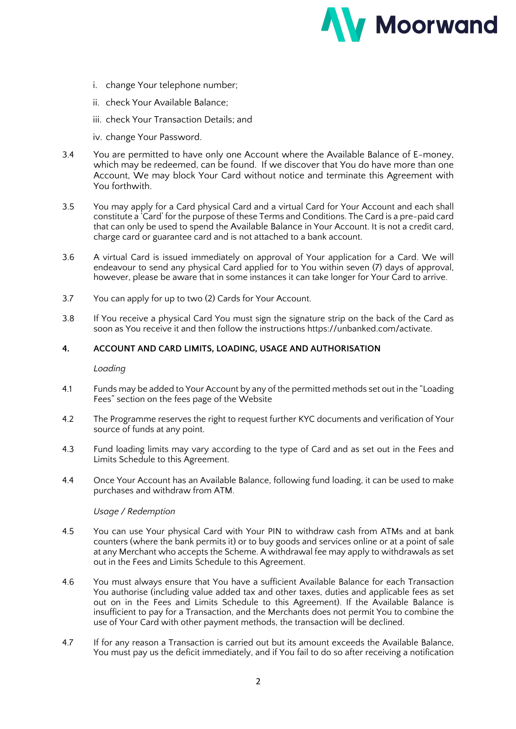

- i. change Your telephone number;
- ii. check Your Available Balance;
- iii. check Your Transaction Details; and
- iv. change Your Password.
- 3.4 You are permitted to have only one Account where the Available Balance of E-money, which may be redeemed, can be found. If we discover that You do have more than one Account, We may block Your Card without notice and terminate this Agreement with You forthwith.
- 3.5 You may apply for a Card physical Card and a virtual Card for Your Account and each shall constitute a 'Card' for the purpose of these Terms and Conditions. The Card is a pre-paid card that can only be used to spend the Available Balance in Your Account. It is not a credit card, charge card or guarantee card and is not attached to a bank account.
- 3.6 A virtual Card is issued immediately on approval of Your application for a Card. We will endeavour to send any physical Card applied for to You within seven (7) days of approval, however, please be aware that in some instances it can take longer for Your Card to arrive.
- 3.7 You can apply for up to two (2) Cards for Your Account.
- 3.8 If You receive a physical Card You must sign the signature strip on the back of the Card as soon as You receive it and then follow the instructions https://unbanked.com/activate.

## **4. ACCOUNT AND CARD LIMITS, LOADING, USAGE AND AUTHORISATION**

*Loading*

- 4.1 Funds may be added to Your Account by any of the permitted methods set out in the "Loading Fees" section on the fees page of the Website
- 4.2 The Programme reserves the right to request further KYC documents and verification of Your source of funds at any point.
- 4.3 Fund loading limits may vary according to the type of Card and as set out in the Fees and Limits Schedule to this Agreement.
- 4.4 Once Your Account has an Available Balance, following fund loading, it can be used to make purchases and withdraw from ATM.

#### *Usage / Redemption*

- 4.5 You can use Your physical Card with Your PIN to withdraw cash from ATMs and at bank counters (where the bank permits it) or to buy goods and services online or at a point of sale at any Merchant who accepts the Scheme. A withdrawal fee may apply to withdrawals as set out in the Fees and Limits Schedule to this Agreement.
- 4.6 You must always ensure that You have a sufficient Available Balance for each Transaction You authorise (including value added tax and other taxes, duties and applicable fees as set out on in the Fees and Limits Schedule to this Agreement). If the Available Balance is insufficient to pay for a Transaction, and the Merchants does not permit You to combine the use of Your Card with other payment methods, the transaction will be declined.
- 4.7 If for any reason a Transaction is carried out but its amount exceeds the Available Balance, You must pay us the deficit immediately, and if You fail to do so after receiving a notification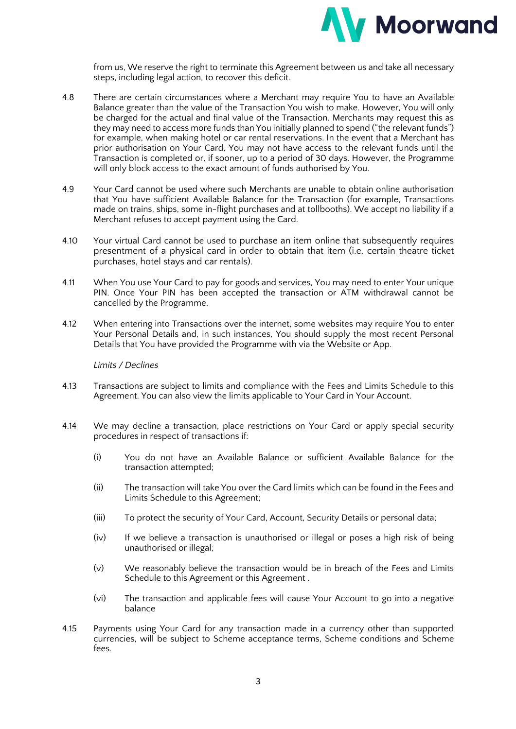

from us, We reserve the right to terminate this Agreement between us and take all necessary steps, including legal action, to recover this deficit.

- 4.8 There are certain circumstances where a Merchant may require You to have an Available Balance greater than the value of the Transaction You wish to make. However, You will only be charged for the actual and final value of the Transaction. Merchants may request this as they may need to access more funds than You initially planned to spend ("the relevant funds") for example, when making hotel or car rental reservations. In the event that a Merchant has prior authorisation on Your Card, You may not have access to the relevant funds until the Transaction is completed or, if sooner, up to a period of 30 days. However, the Programme will only block access to the exact amount of funds authorised by You.
- 4.9 Your Card cannot be used where such Merchants are unable to obtain online authorisation that You have sufficient Available Balance for the Transaction (for example, Transactions made on trains, ships, some in-flight purchases and at tollbooths). We accept no liability if a Merchant refuses to accept payment using the Card.
- 4.10 Your virtual Card cannot be used to purchase an item online that subsequently requires presentment of a physical card in order to obtain that item (i.e. certain theatre ticket purchases, hotel stays and car rentals).
- 4.11 When You use Your Card to pay for goods and services, You may need to enter Your unique PIN. Once Your PIN has been accepted the transaction or ATM withdrawal cannot be cancelled by the Programme.
- 4.12 When entering into Transactions over the internet, some websites may require You to enter Your Personal Details and, in such instances, You should supply the most recent Personal Details that You have provided the Programme with via the Website or App.

## *Limits / Declines*

- 4.13 Transactions are subject to limits and compliance with the Fees and Limits Schedule to this Agreement. You can also view the limits applicable to Your Card in Your Account.
- 4.14 We may decline a transaction, place restrictions on Your Card or apply special security procedures in respect of transactions if:
	- (i) You do not have an Available Balance or sufficient Available Balance for the transaction attempted;
	- (ii) The transaction will take You over the Card limits which can be found in the Fees and Limits Schedule to this Agreement;
	- (iii) To protect the security of Your Card, Account, Security Details or personal data;
	- (iv) If we believe a transaction is unauthorised or illegal or poses a high risk of being unauthorised or illegal;
	- (v) We reasonably believe the transaction would be in breach of the Fees and Limits Schedule to this Agreement or this Agreement .
	- (vi) The transaction and applicable fees will cause Your Account to go into a negative balance
- 4.15 Payments using Your Card for any transaction made in a currency other than supported currencies, will be subject to Scheme acceptance terms, Scheme conditions and Scheme fees.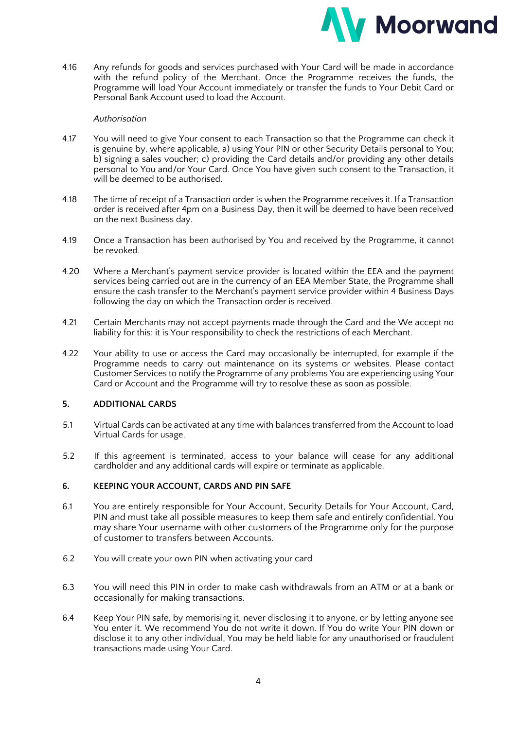

4.16 Any refunds for goods and services purchased with Your Card will be made in accordance with the refund policy of the Merchant. Once the Programme receives the funds, the Programme will load Your Account immediately or transfer the funds to Your Debit Card or Personal Bank Account used to load the Account.

## *Authorisation*

- 4.17 You will need to give Your consent to each Transaction so that the Programme can check it is genuine by, where applicable, a) using Your PIN or other Security Details personal to You; b) signing a sales voucher; c) providing the Card details and/or providing any other details personal to You and/or Your Card. Once You have given such consent to the Transaction, it will be deemed to be authorised.
- 4.18 The time of receipt of a Transaction order is when the Programme receives it. If a Transaction order is received after 4pm on a Business Day, then it will be deemed to have been received on the next Business day.
- 4.19 Once a Transaction has been authorised by You and received by the Programme, it cannot be revoked.
- 4.20 Where a Merchant's payment service provider is located within the EEA and the payment services being carried out are in the currency of an EEA Member State, the Programme shall ensure the cash transfer to the Merchant's payment service provider within 4 Business Days following the day on which the Transaction order is received.
- 4.21 Certain Merchants may not accept payments made through the Card and the We accept no liability for this: it is Your responsibility to check the restrictions of each Merchant.
- 4.22 Your ability to use or access the Card may occasionally be interrupted, for example if the Programme needs to carry out maintenance on its systems or websites. Please contact Customer Services to notify the Programme of any problems You are experiencing using Your Card or Account and the Programme will try to resolve these as soon as possible.

## **5. ADDITIONAL CARDS**

- 5.1 Virtual Cards can be activated at any time with balances transferred from the Account to load Virtual Cards for usage.
- 5.2 If this agreement is terminated, access to your balance will cease for any additional cardholder and any additional cards will expire or terminate as applicable.

## **6. KEEPING YOUR ACCOUNT, CARDS AND PIN SAFE**

- 6.1 You are entirely responsible for Your Account, Security Details for Your Account, Card, PIN and must take all possible measures to keep them safe and entirely confidential. You may share Your username with other customers of the Programme only for the purpose of customer to transfers between Accounts.
- 6.2 You will create your own PIN when activating your card
- 6.3 You will need this PIN in order to make cash withdrawals from an ATM or at a bank or occasionally for making transactions.
- 6.4 Keep Your PIN safe, by memorising it, never disclosing it to anyone, or by letting anyone see You enter it. We recommend You do not write it down. If You do write Your PIN down or disclose it to any other individual, You may be held liable for any unauthorised or fraudulent transactions made using Your Card.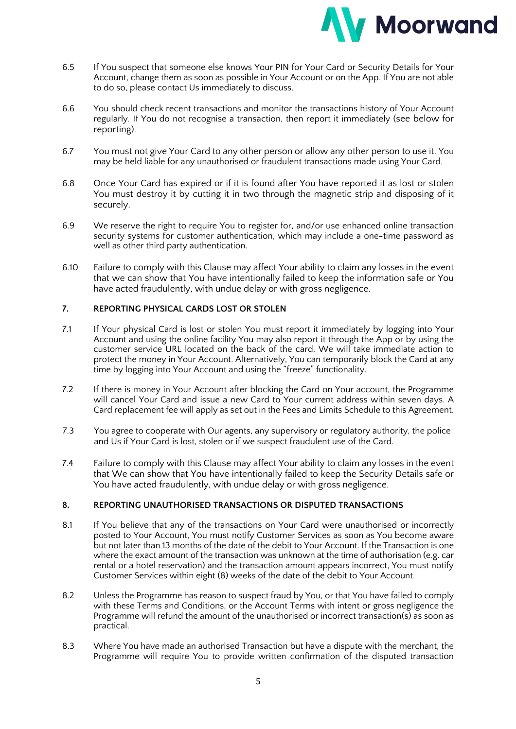

- 6.5 If You suspect that someone else knows Your PIN for Your Card or Security Details for Your Account, change them as soon as possible in Your Account or on the App. If You are not able to do so, please contact Us immediately to discuss.
- 6.6 You should check recent transactions and monitor the transactions history of Your Account regularly. If You do not recognise a transaction, then report it immediately (see below for reporting).
- 6.7 You must not give Your Card to any other person or allow any other person to use it. You may be held liable for any unauthorised or fraudulent transactions made using Your Card.
- 6.8 Once Your Card has expired or if it is found after You have reported it as lost or stolen You must destroy it by cutting it in two through the magnetic strip and disposing of it securely.
- 6.9 We reserve the right to require You to register for, and/or use enhanced online transaction security systems for customer authentication, which may include a one-time password as well as other third party authentication.
- 6.10 Failure to comply with this Clause may affect Your ability to claim any losses in the event that we can show that You have intentionally failed to keep the information safe or You have acted fraudulently, with undue delay or with gross negligence.

# **7. REPORTING PHYSICAL CARDS LOST OR STOLEN**

- 7.1 If Your physical Card is lost or stolen You must report it immediately by logging into Your Account and using the online facility You may also report it through the App or by using the customer service URL located on the back of the card. We will take immediate action to protect the money in Your Account. Alternatively, You can temporarily block the Card at any time by logging into Your Account and using the "freeze" functionality.
- 7.2 If there is money in Your Account after blocking the Card on Your account, the Programme will cancel Your Card and issue a new Card to Your current address within seven days. A Card replacement fee will apply as set out in the Fees and Limits Schedule to this Agreement.
- 7.3 You agree to cooperate with Our agents, any supervisory or regulatory authority, the police and Us if Your Card is lost, stolen or if we suspect fraudulent use of the Card.
- 7.4 Failure to comply with this Clause may affect Your ability to claim any losses in the event that We can show that You have intentionally failed to keep the Security Details safe or You have acted fraudulently, with undue delay or with gross negligence.

## **8. REPORTING UNAUTHORISED TRANSACTIONS OR DISPUTED TRANSACTIONS**

- 8.1 If You believe that any of the transactions on Your Card were unauthorised or incorrectly posted to Your Account, You must notify Customer Services as soon as You become aware but not later than 13 months of the date of the debit to Your Account. If the Transaction is one where the exact amount of the transaction was unknown at the time of authorisation (e.g. car rental or a hotel reservation) and the transaction amount appears incorrect, You must notify Customer Services within eight (8) weeks of the date of the debit to Your Account.
- 8.2 Unless the Programme has reason to suspect fraud by You, or that You have failed to comply with these Terms and Conditions, or the Account Terms with intent or gross negligence the Programme will refund the amount of the unauthorised or incorrect transaction(s) as soon as practical.
- 8.3 Where You have made an authorised Transaction but have a dispute with the merchant, the Programme will require You to provide written confirmation of the disputed transaction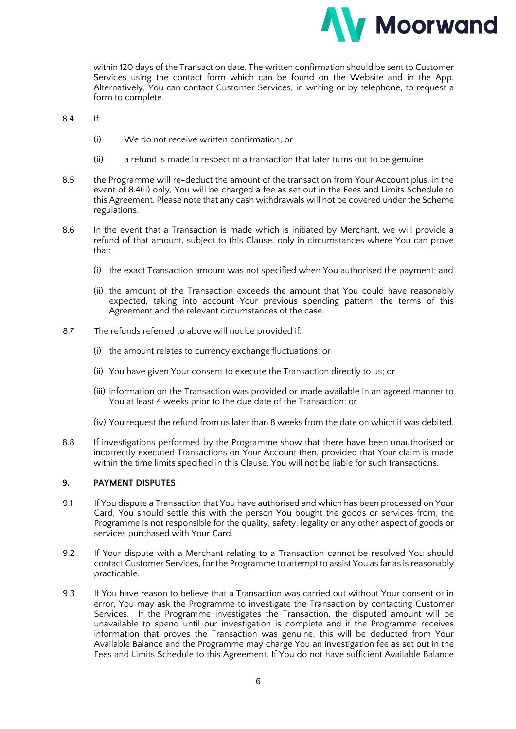

within 120 days of the Transaction date. The written confirmation should be sent to Customer Services using the contact form which can be found on the Website and in the App. Alternatively, You can contact Customer Services, in writing or by telephone, to request a form to complete.

8.4 If:

- (i) We do not receive written confirmation; or
- (ii) a refund is made in respect of a transaction that later turns out to be genuine
- 8.5 the Programme will re-deduct the amount of the transaction from Your Account plus, in the event of 8.4(ii) only, You will be charged a fee as set out in the Fees and Limits Schedule to this Agreement. Please note that any cash withdrawals will not be covered under the Scheme regulations.
- 8.6 In the event that a Transaction is made which is initiated by Merchant, we will provide a refund of that amount, subject to this Clause, only in circumstances where You can prove that:
	- (i) the exact Transaction amount was not specified when You authorised the payment; and
	- (ii) the amount of the Transaction exceeds the amount that You could have reasonably expected, taking into account Your previous spending pattern, the terms of this Agreement and the relevant circumstances of the case.
- 8.7 The refunds referred to above will not be provided if:
	- (i) the amount relates to currency exchange fluctuations; or
	- (ii) You have given Your consent to execute the Transaction directly to us; or
	- (iii) information on the Transaction was provided or made available in an agreed manner to You at least 4 weeks prior to the due date of the Transaction; or
	- (iv) You request the refund from us later than 8 weeks from the date on which it was debited.
- 8.8 If investigations performed by the Programme show that there have been unauthorised or incorrectly executed Transactions on Your Account then, provided that Your claim is made within the time limits specified in this Clause, You will not be liable for such transactions.

## **9. PAYMENT DISPUTES**

- 9.1 If You dispute a Transaction that You have authorised and which has been processed on Your Card, You should settle this with the person You bought the goods or services from; the Programme is not responsible for the quality, safety, legality or any other aspect of goods or services purchased with Your Card.
- 9.2 If Your dispute with a Merchant relating to a Transaction cannot be resolved You should contact Customer Services, for the Programme to attempt to assist You as far as is reasonably practicable.
- 9.3 If You have reason to believe that a Transaction was carried out without Your consent or in error, You may ask the Programme to investigate the Transaction by contacting Customer Services. If the Programme investigates the Transaction, the disputed amount will be unavailable to spend until our investigation is complete and if the Programme receives information that proves the Transaction was genuine, this will be deducted from Your Available Balance and the Programme may charge You an investigation fee as set out in the Fees and Limits Schedule to this Agreement. If You do not have sufficient Available Balance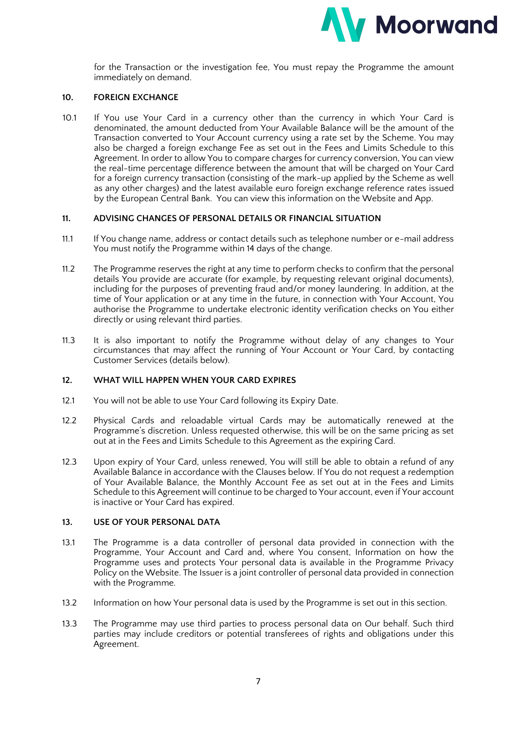

for the Transaction or the investigation fee, You must repay the Programme the amount immediately on demand.

## **10. FOREIGN EXCHANGE**

10.1 If You use Your Card in a currency other than the currency in which Your Card is denominated, the amount deducted from Your Available Balance will be the amount of the Transaction converted to Your Account currency using a rate set by the Scheme. You may also be charged a foreign exchange Fee as set out in the Fees and Limits Schedule to this Agreement. In order to allow You to compare charges for currency conversion, You can view the real-time percentage difference between the amount that will be charged on Your Card for a foreign currency transaction (consisting of the mark-up applied by the Scheme as well as any other charges) and the latest available euro foreign exchange reference rates issued by the European Central Bank. You can view this information on the Website and App.

#### **11. ADVISING CHANGES OF PERSONAL DETAILS OR FINANCIAL SITUATION**

- 11.1 If You change name, address or contact details such as telephone number or e-mail address You must notify the Programme within 14 days of the change.
- 11.2 The Programme reserves the right at any time to perform checks to confirm that the personal details You provide are accurate (for example, by requesting relevant original documents), including for the purposes of preventing fraud and/or money laundering. In addition, at the time of Your application or at any time in the future, in connection with Your Account, You authorise the Programme to undertake electronic identity verification checks on You either directly or using relevant third parties.
- 11.3 It is also important to notify the Programme without delay of any changes to Your circumstances that may affect the running of Your Account or Your Card, by contacting Customer Services (details below).

### **12. WHAT WILL HAPPEN WHEN YOUR CARD EXPIRES**

- 12.1 You will not be able to use Your Card following its Expiry Date.
- 12.2 Physical Cards and reloadable virtual Cards may be automatically renewed at the Programme's discretion. Unless requested otherwise, this will be on the same pricing as set out at in the Fees and Limits Schedule to this Agreement as the expiring Card.
- 12.3 Upon expiry of Your Card, unless renewed, You will still be able to obtain a refund of any Available Balance in accordance with the Clauses below. If You do not request a redemption of Your Available Balance, the Monthly Account Fee as set out at in the Fees and Limits Schedule to this Agreement will continue to be charged to Your account, even if Your account is inactive or Your Card has expired.

#### **13. USE OF YOUR PERSONAL DATA**

- 13.1 The Programme is a data controller of personal data provided in connection with the Programme, Your Account and Card and, where You consent, Information on how the Programme uses and protects Your personal data is available in the Programme Privacy Policy on the Website. The Issuer is a joint controller of personal data provided in connection with the Programme.
- 13.2 Information on how Your personal data is used by the Programme is set out in this section.
- 13.3 The Programme may use third parties to process personal data on Our behalf. Such third parties may include creditors or potential transferees of rights and obligations under this Agreement.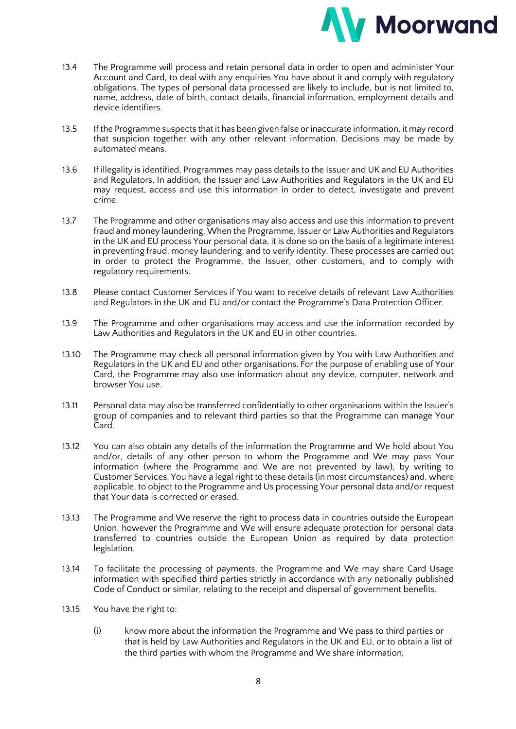

- 13.4 The Programme will process and retain personal data in order to open and administer Your Account and Card, to deal with any enquiries You have about it and comply with regulatory obligations. The types of personal data processed are likely to include, but is not limited to, name, address, date of birth, contact details, financial information, employment details and device identifiers.
- 13.5 If the Programme suspects that it has been given false or inaccurate information, it may record that suspicion together with any other relevant information. Decisions may be made by automated means.
- 13.6 If illegality is identified, Programmes may pass details to the Issuer and UK and EU Authorities and Regulators. In addition, the Issuer and Law Authorities and Regulators in the UK and EU may request, access and use this information in order to detect, investigate and prevent crime.
- 13.7 The Programme and other organisations may also access and use this information to prevent fraud and money laundering. When the Programme, Issuer or Law Authorities and Regulators in the UK and EU process Your personal data, it is done so on the basis of a legitimate interest in preventing fraud, money laundering, and to verify identity. These processes are carried out in order to protect the Programme, the Issuer, other customers, and to comply with regulatory requirements.
- 13.8 Please contact Customer Services if You want to receive details of relevant Law Authorities and Regulators in the UK and EU and/or contact the Programme's Data Protection Officer.
- 13.9 The Programme and other organisations may access and use the information recorded by Law Authorities and Regulators in the UK and EU in other countries.
- 13.10 The Programme may check all personal information given by You with Law Authorities and Regulators in the UK and EU and other organisations. For the purpose of enabling use of Your Card, the Programme may also use information about any device, computer, network and browser You use.
- 13.11 Personal data may also be transferred confidentially to other organisations within the Issuer's group of companies and to relevant third parties so that the Programme can manage Your Card.
- 13.12 You can also obtain any details of the information the Programme and We hold about You and/or, details of any other person to whom the Programme and We may pass Your information (where the Programme and We are not prevented by law), by writing to Customer Services. You have a legal right to these details (in most circumstances) and, where applicable, to object to the Programme and Us processing Your personal data and/or request that Your data is corrected or erased.
- 13.13 The Programme and We reserve the right to process data in countries outside the European Union, however the Programme and We will ensure adequate protection for personal data transferred to countries outside the European Union as required by data protection legislation.
- 13.14 To facilitate the processing of payments, the Programme and We may share Card Usage information with specified third parties strictly in accordance with any nationally published Code of Conduct or similar, relating to the receipt and dispersal of government benefits.
- 13.15 You have the right to:
	- (i) know more about the information the Programme and We pass to third parties or that is held by Law Authorities and Regulators in the UK and EU, or to obtain a list of the third parties with whom the Programme and We share information;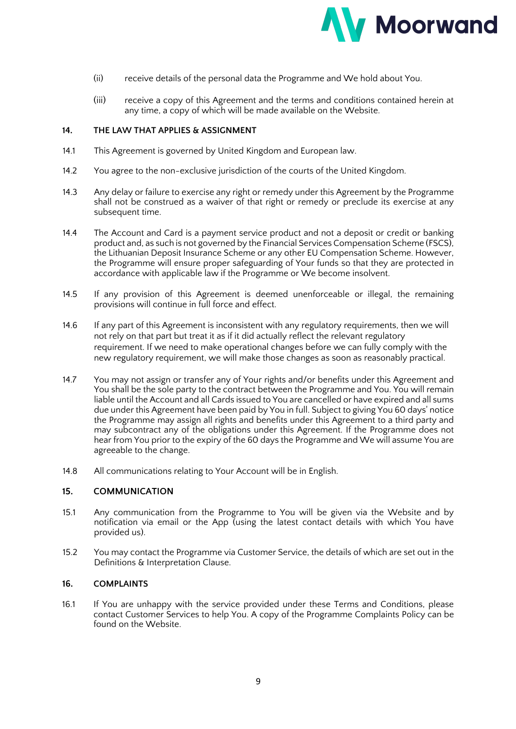

- (ii) receive details of the personal data the Programme and We hold about You.
- (iii) receive a copy of this Agreement and the terms and conditions contained herein at any time, a copy of which will be made available on the Website.

### **14. THE LAW THAT APPLIES & ASSIGNMENT**

- 14.1 This Agreement is governed by United Kingdom and European law.
- 14.2 You agree to the non-exclusive jurisdiction of the courts of the United Kingdom.
- 14.3 Any delay or failure to exercise any right or remedy under this Agreement by the Programme shall not be construed as a waiver of that right or remedy or preclude its exercise at any subsequent time.
- 14.4 The Account and Card is a payment service product and not a deposit or credit or banking product and, as such is not governed by the Financial Services Compensation Scheme (FSCS), the Lithuanian Deposit Insurance Scheme or any other EU Compensation Scheme. However, the Programme will ensure proper safeguarding of Your funds so that they are protected in accordance with applicable law if the Programme or We become insolvent.
- 14.5 If any provision of this Agreement is deemed unenforceable or illegal, the remaining provisions will continue in full force and effect.
- 14.6 If any part of this Agreement is inconsistent with any regulatory requirements, then we will not rely on that part but treat it as if it did actually reflect the relevant regulatory requirement. If we need to make operational changes before we can fully comply with the new regulatory requirement, we will make those changes as soon as reasonably practical.
- 14.7 You may not assign or transfer any of Your rights and/or benefits under this Agreement and You shall be the sole party to the contract between the Programme and You. You will remain liable until the Account and all Cards issued to You are cancelled or have expired and all sums due under this Agreement have been paid by You in full. Subject to giving You 60 days' notice the Programme may assign all rights and benefits under this Agreement to a third party and may subcontract any of the obligations under this Agreement. If the Programme does not hear from You prior to the expiry of the 60 days the Programme and We will assume You are agreeable to the change.
- 14.8 All communications relating to Your Account will be in English.

## **15. COMMUNICATION**

- 15.1 Any communication from the Programme to You will be given via the Website and by notification via email or the App (using the latest contact details with which You have provided us).
- 15.2 You may contact the Programme via Customer Service, the details of which are set out in the Definitions & Interpretation Clause.

### **16. COMPLAINTS**

16.1 If You are unhappy with the service provided under these Terms and Conditions, please contact Customer Services to help You. A copy of the Programme Complaints Policy can be found on the Website.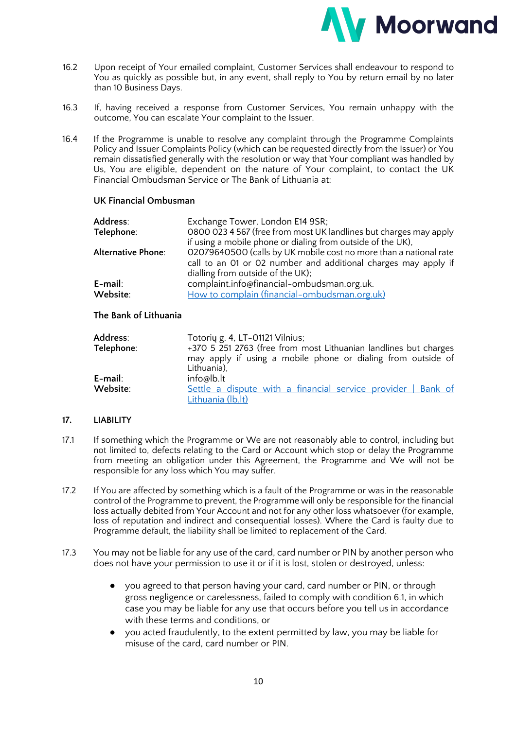

- 16.2 Upon receipt of Your emailed complaint, Customer Services shall endeavour to respond to You as quickly as possible but, in any event, shall reply to You by return email by no later than 10 Business Days.
- 16.3 If, having received a response from Customer Services, You remain unhappy with the outcome, You can escalate Your complaint to the Issuer.
- 16.4 If the Programme is unable to resolve any complaint through the Programme Complaints Policy and Issuer Complaints Policy (which can be requested directly from the Issuer) or You remain dissatisfied generally with the resolution or way that Your compliant was handled by Us, You are eligible, dependent on the nature of Your complaint, to contact the UK Financial Ombudsman Service or The Bank of Lithuania at:

### **UK Financial Ombusman**

| Address:           | Exchange Tower, London E14 9SR;                                   |
|--------------------|-------------------------------------------------------------------|
| Telephone:         | 0800 023 4 567 (free from most UK landlines but charges may apply |
|                    | if using a mobile phone or dialing from outside of the UK),       |
| Alternative Phone: | 02079640500 (calls by UK mobile cost no more than a national rate |
|                    | call to an 01 or 02 number and additional charges may apply if    |
|                    | dialling from outside of the UK);                                 |
| E-mail:            | complaint.info@financial-ombudsman.org.uk.                        |
| Website:           | How to complain (financial-ombudsman.org.uk)                      |
|                    |                                                                   |

## **The Bank of Lithuania**

| Address:<br>Telephone: | Totorių g. 4, LT-01121 Vilnius;<br>+370 5 251 2763 (free from most Lithuanian landlines but charges<br>may apply if using a mobile phone or dialing from outside of |  |  |
|------------------------|---------------------------------------------------------------------------------------------------------------------------------------------------------------------|--|--|
| E-mail:<br>Website:    | Lithuania),<br>info@lb.lt<br>Settle a dispute with a financial service provider   Bank of<br>Lithuania (lb.lt)                                                      |  |  |

## **17. LIABILITY**

- 17.1 If something which the Programme or We are not reasonably able to control, including but not limited to, defects relating to the Card or Account which stop or delay the Programme from meeting an obligation under this Agreement, the Programme and We will not be responsible for any loss which You may suffer.
- 17.2 If You are affected by something which is a fault of the Programme or was in the reasonable control of the Programme to prevent, the Programme will only be responsible for the financial loss actually debited from Your Account and not for any other loss whatsoever (for example, loss of reputation and indirect and consequential losses). Where the Card is faulty due to Programme default, the liability shall be limited to replacement of the Card.
- 17.3 You may not be liable for any use of the card, card number or PIN by another person who does not have your permission to use it or if it is lost, stolen or destroyed, unless:
	- you agreed to that person having your card, card number or PIN, or through gross negligence or carelessness, failed to comply with condition 6.1, in which case you may be liable for any use that occurs before you tell us in accordance with these terms and conditions, or
	- you acted fraudulently, to the extent permitted by law, you may be liable for misuse of the card, card number or PIN.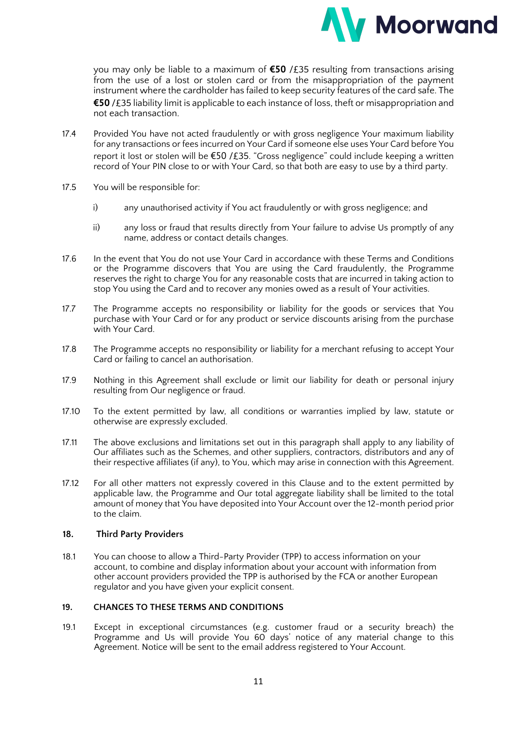

you may only be liable to a maximum of **€50** /£35 resulting from transactions arising from the use of a lost or stolen card or from the misappropriation of the payment instrument where the cardholder has failed to keep security features of the card safe. The **€50** /£35 liability limit is applicable to each instance of loss, theft or misappropriation and not each transaction.

- 17.4 Provided You have not acted fraudulently or with gross negligence Your maximum liability for any transactions or fees incurred on Your Card if someone else uses Your Card before You report it lost or stolen will be €50 /£35. "Gross negligence" could include keeping a written record of Your PIN close to or with Your Card, so that both are easy to use by a third party.
- 17.5 You will be responsible for:
	- i) any unauthorised activity if You act fraudulently or with gross negligence; and
	- ii) any loss or fraud that results directly from Your failure to advise Us promptly of any name, address or contact details changes.
- 17.6 In the event that You do not use Your Card in accordance with these Terms and Conditions or the Programme discovers that You are using the Card fraudulently, the Programme reserves the right to charge You for any reasonable costs that are incurred in taking action to stop You using the Card and to recover any monies owed as a result of Your activities.
- 17.7 The Programme accepts no responsibility or liability for the goods or services that You purchase with Your Card or for any product or service discounts arising from the purchase with Your Card.
- 17.8 The Programme accepts no responsibility or liability for a merchant refusing to accept Your Card or failing to cancel an authorisation.
- 17.9 Nothing in this Agreement shall exclude or limit our liability for death or personal injury resulting from Our negligence or fraud.
- 17.10 To the extent permitted by law, all conditions or warranties implied by law, statute or otherwise are expressly excluded.
- 17.11 The above exclusions and limitations set out in this paragraph shall apply to any liability of Our affiliates such as the Schemes, and other suppliers, contractors, distributors and any of their respective affiliates (if any), to You, which may arise in connection with this Agreement.
- 17.12 For all other matters not expressly covered in this Clause and to the extent permitted by applicable law, the Programme and Our total aggregate liability shall be limited to the total amount of money that You have deposited into Your Account over the 12-month period prior to the claim.

## **18. Third Party Providers**

18.1 You can choose to allow a Third-Party Provider (TPP) to access information on your account, to combine and display information about your account with information from other account providers provided the TPP is authorised by the FCA or another European regulator and you have given your explicit consent.

## **19. CHANGES TO THESE TERMS AND CONDITIONS**

19.1 Except in exceptional circumstances (e.g. customer fraud or a security breach) the Programme and Us will provide You 60 days' notice of any material change to this Agreement. Notice will be sent to the email address registered to Your Account.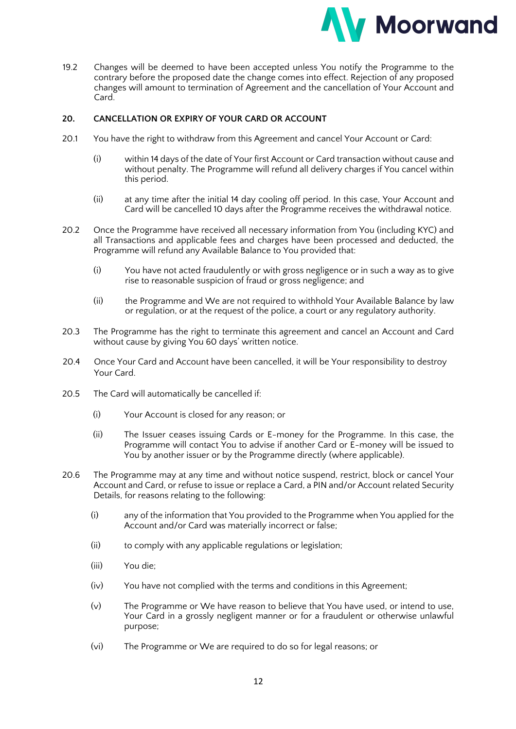

19.2 Changes will be deemed to have been accepted unless You notify the Programme to the contrary before the proposed date the change comes into effect. Rejection of any proposed changes will amount to termination of Agreement and the cancellation of Your Account and Card.

## **20. CANCELLATION OR EXPIRY OF YOUR CARD OR ACCOUNT**

- 20.1 You have the right to withdraw from this Agreement and cancel Your Account or Card:
	- (i) within 14 days of the date of Your first Account or Card transaction without cause and without penalty. The Programme will refund all delivery charges if You cancel within this period.
	- (ii) at any time after the initial 14 day cooling off period. In this case, Your Account and Card will be cancelled 10 days after the Programme receives the withdrawal notice.
- 20.2 Once the Programme have received all necessary information from You (including KYC) and all Transactions and applicable fees and charges have been processed and deducted, the Programme will refund any Available Balance to You provided that:
	- (i) You have not acted fraudulently or with gross negligence or in such a way as to give rise to reasonable suspicion of fraud or gross negligence; and
	- (ii) the Programme and We are not required to withhold Your Available Balance by law or regulation, or at the request of the police, a court or any regulatory authority.
- 20.3 The Programme has the right to terminate this agreement and cancel an Account and Card without cause by giving You 60 days' written notice.
- 20.4 Once Your Card and Account have been cancelled, it will be Your responsibility to destroy Your Card.
- 20.5 The Card will automatically be cancelled if:
	- (i) Your Account is closed for any reason; or
	- (ii) The Issuer ceases issuing Cards or E-money for the Programme. In this case, the Programme will contact You to advise if another Card or E-money will be issued to You by another issuer or by the Programme directly (where applicable).
- 20.6 The Programme may at any time and without notice suspend, restrict, block or cancel Your Account and Card, or refuse to issue or replace a Card, a PIN and/or Account related Security Details, for reasons relating to the following:
	- (i) any of the information that You provided to the Programme when You applied for the Account and/or Card was materially incorrect or false;
	- (ii) to comply with any applicable regulations or legislation;
	- (iii) You die;
	- (iv) You have not complied with the terms and conditions in this Agreement;
	- (v) The Programme or We have reason to believe that You have used, or intend to use, Your Card in a grossly negligent manner or for a fraudulent or otherwise unlawful purpose;
	- (vi) The Programme or We are required to do so for legal reasons; or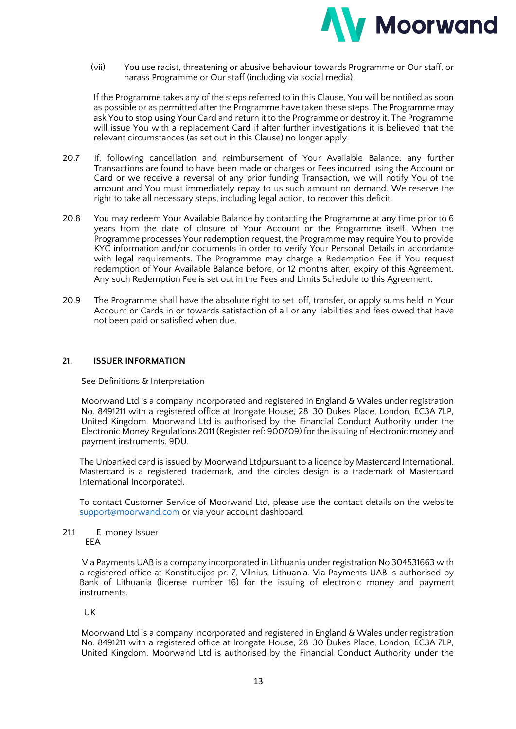

(vii) You use racist, threatening or abusive behaviour towards Programme or Our staff, or harass Programme or Our staff (including via social media).

If the Programme takes any of the steps referred to in this Clause, You will be notified as soon as possible or as permitted after the Programme have taken these steps. The Programme may ask You to stop using Your Card and return it to the Programme or destroy it. The Programme will issue You with a replacement Card if after further investigations it is believed that the relevant circumstances (as set out in this Clause) no longer apply.

- 20.7 If, following cancellation and reimbursement of Your Available Balance, any further Transactions are found to have been made or charges or Fees incurred using the Account or Card or we receive a reversal of any prior funding Transaction, we will notify You of the amount and You must immediately repay to us such amount on demand. We reserve the right to take all necessary steps, including legal action, to recover this deficit.
- 20.8 You may redeem Your Available Balance by contacting the Programme at any time prior to 6 years from the date of closure of Your Account or the Programme itself. When the Programme processes Your redemption request, the Programme may require You to provide KYC information and/or documents in order to verify Your Personal Details in accordance with legal requirements. The Programme may charge a Redemption Fee if You request redemption of Your Available Balance before, or 12 months after, expiry of this Agreement. Any such Redemption Fee is set out in the Fees and Limits Schedule to this Agreement.
- 20.9 The Programme shall have the absolute right to set-off, transfer, or apply sums held in Your Account or Cards in or towards satisfaction of all or any liabilities and fees owed that have not been paid or satisfied when due.

## **21. ISSUER INFORMATION**

See Definitions & Interpretation

Moorwand Ltd is a company incorporated and registered in England & Wales under registration No. 8491211 with a registered office at Irongate House, 28-30 Dukes Place, London, EC3A 7LP, United Kingdom. Moorwand Ltd is authorised by the Financial Conduct Authority under the Electronic Money Regulations 2011 (Register ref: 900709) for the issuing of electronic money and payment instruments. 9DU.

The Unbanked card is issued by Moorwand Ltdpursuant to a licence by Mastercard International. Mastercard is a registered trademark, and the circles design is a trademark of Mastercard International Incorporated.

To contact Customer Service of Moorwand Ltd, please use the contact details on the website support@moorwand.com or via your account dashboard.

#### 21.1 E-money Issuer EEA

Via Payments UAB is a company incorporated in Lithuania under registration No 304531663 with a registered office at Konstitucijos pr. 7, Vilnius, Lithuania. Via Payments UAB is authorised by Bank of Lithuania (license number 16) for the issuing of electronic money and payment instruments.

## UK

Moorwand Ltd is a company incorporated and registered in England & Wales under registration No. 8491211 with a registered office at Irongate House, 28-30 Dukes Place, London, EC3A 7LP, United Kingdom. Moorwand Ltd is authorised by the Financial Conduct Authority under the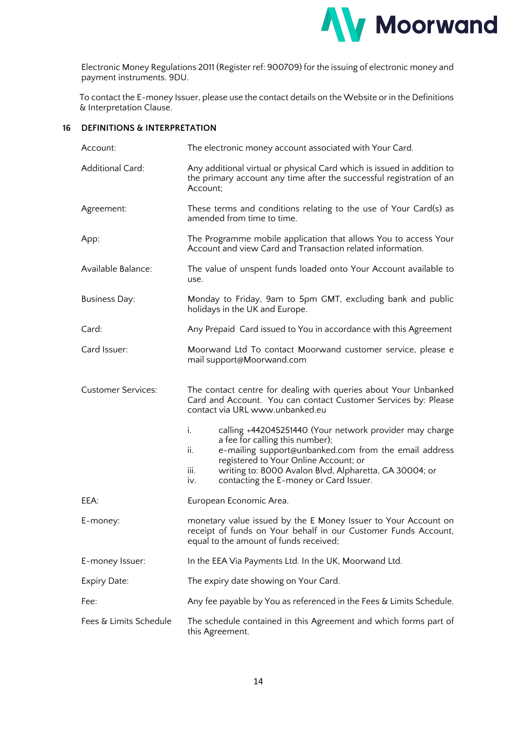

Electronic Money Regulations 2011 (Register ref: 900709) for the issuing of electronic money and payment instruments. 9DU.

To contact the E-money Issuer, please use the contact details on the Website or in the Definitions & Interpretation Clause.

## **16 DEFINITIONS & INTERPRETATION**

| Account:                  | The electronic money account associated with Your Card.                                                                                                                                                                                                                                                                      |  |  |
|---------------------------|------------------------------------------------------------------------------------------------------------------------------------------------------------------------------------------------------------------------------------------------------------------------------------------------------------------------------|--|--|
| <b>Additional Card:</b>   | Any additional virtual or physical Card which is issued in addition to<br>the primary account any time after the successful registration of an<br>Account:                                                                                                                                                                   |  |  |
| Agreement:                | These terms and conditions relating to the use of Your Card(s) as<br>amended from time to time.                                                                                                                                                                                                                              |  |  |
| App:                      | The Programme mobile application that allows You to access Your<br>Account and view Card and Transaction related information.                                                                                                                                                                                                |  |  |
| Available Balance:        | The value of unspent funds loaded onto Your Account available to<br>use.                                                                                                                                                                                                                                                     |  |  |
| <b>Business Day:</b>      | Monday to Friday, 9am to 5pm GMT, excluding bank and public<br>holidays in the UK and Europe.                                                                                                                                                                                                                                |  |  |
| Card:                     | Any Prepaid Card issued to You in accordance with this Agreement                                                                                                                                                                                                                                                             |  |  |
| Card Issuer:              | Moorwand Ltd To contact Moorwand customer service, please e<br>mail support@Moorwand.com                                                                                                                                                                                                                                     |  |  |
| <b>Customer Services:</b> | The contact centre for dealing with queries about Your Unbanked<br>Card and Account. You can contact Customer Services by: Please<br>contact via URL www.unbanked.eu                                                                                                                                                         |  |  |
|                           | i.<br>calling +442045251440 (Your network provider may charge<br>a fee for calling this number);<br>ii.<br>e-mailing support@unbanked.com from the email address<br>registered to Your Online Account; or<br>iii.<br>writing to: 8000 Avalon Blvd, Alpharetta, GA 30004; or<br>contacting the E-money or Card Issuer.<br>iv. |  |  |
| EEA:                      | European Economic Area.                                                                                                                                                                                                                                                                                                      |  |  |
| E-money:                  | monetary value issued by the E Money Issuer to Your Account on<br>receipt of funds on Your behalf in our Customer Funds Account,<br>equal to the amount of funds received;                                                                                                                                                   |  |  |
| E-money Issuer:           | In the EEA Via Payments Ltd. In the UK, Moorwand Ltd.                                                                                                                                                                                                                                                                        |  |  |
| Expiry Date:              | The expiry date showing on Your Card.                                                                                                                                                                                                                                                                                        |  |  |
| Fee:                      | Any fee payable by You as referenced in the Fees & Limits Schedule.                                                                                                                                                                                                                                                          |  |  |
| Fees & Limits Schedule    | The schedule contained in this Agreement and which forms part of<br>this Agreement.                                                                                                                                                                                                                                          |  |  |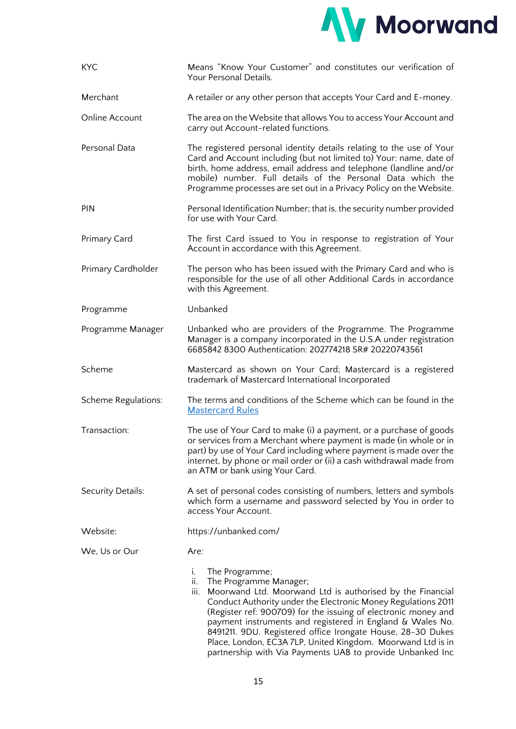

| <b>KYC</b>          | Means "Know Your Customer" and constitutes our verification of<br>Your Personal Details.                                                                                                                                                                                                                                                                                                                                                                                                                           |  |  |
|---------------------|--------------------------------------------------------------------------------------------------------------------------------------------------------------------------------------------------------------------------------------------------------------------------------------------------------------------------------------------------------------------------------------------------------------------------------------------------------------------------------------------------------------------|--|--|
| Merchant            | A retailer or any other person that accepts Your Card and E-money.                                                                                                                                                                                                                                                                                                                                                                                                                                                 |  |  |
| Online Account      | The area on the Website that allows You to access Your Account and<br>carry out Account-related functions.                                                                                                                                                                                                                                                                                                                                                                                                         |  |  |
| Personal Data       | The registered personal identity details relating to the use of Your<br>Card and Account including (but not limited to) Your: name, date of<br>birth, home address, email address and telephone (landline and/or<br>mobile) number. Full details of the Personal Data which the<br>Programme processes are set out in a Privacy Policy on the Website.                                                                                                                                                             |  |  |
| PIN                 | Personal Identification Number; that is, the security number provided<br>for use with Your Card.                                                                                                                                                                                                                                                                                                                                                                                                                   |  |  |
| Primary Card        | The first Card issued to You in response to registration of Your<br>Account in accordance with this Agreement.                                                                                                                                                                                                                                                                                                                                                                                                     |  |  |
| Primary Cardholder  | The person who has been issued with the Primary Card and who is<br>responsible for the use of all other Additional Cards in accordance<br>with this Agreement.                                                                                                                                                                                                                                                                                                                                                     |  |  |
| Programme           | Unbanked                                                                                                                                                                                                                                                                                                                                                                                                                                                                                                           |  |  |
| Programme Manager   | Unbanked who are providers of the Programme. The Programme<br>Manager is a company incorporated in the U.S.A under registration<br>6685842 8300 Authentication: 202774218 SR# 20220743561                                                                                                                                                                                                                                                                                                                          |  |  |
| Scheme              | Mastercard as shown on Your Card; Mastercard is a registered<br>trademark of Mastercard International Incorporated                                                                                                                                                                                                                                                                                                                                                                                                 |  |  |
| Scheme Regulations: | The terms and conditions of the Scheme which can be found in the<br><b>Mastercard Rules</b>                                                                                                                                                                                                                                                                                                                                                                                                                        |  |  |
| Transaction:        | The use of Your Card to make (i) a payment, or a purchase of goods<br>or services from a Merchant where payment is made (in whole or in<br>part) by use of Your Card including where payment is made over the<br>internet, by phone or mail order or (ii) a cash withdrawal made from<br>an ATM or bank using Your Card.                                                                                                                                                                                           |  |  |
| Security Details:   | A set of personal codes consisting of numbers, letters and symbols<br>which form a username and password selected by You in order to<br>access Your Account.                                                                                                                                                                                                                                                                                                                                                       |  |  |
| Website:            | https://unbanked.com/                                                                                                                                                                                                                                                                                                                                                                                                                                                                                              |  |  |
| We, Us or Our       | Are:                                                                                                                                                                                                                                                                                                                                                                                                                                                                                                               |  |  |
|                     | i.<br>The Programme;<br>ii.<br>The Programme Manager;<br>iii. Moorwand Ltd. Moorwand Ltd is authorised by the Financial<br>Conduct Authority under the Electronic Money Regulations 2011<br>(Register ref: 900709) for the issuing of electronic money and<br>payment instruments and registered in England & Wales No.<br>8491211. 9DU. Registered office Irongate House, 28-30 Dukes<br>Place, London, EC3A 7LP, United Kingdom. Moorwand Ltd is in<br>partnership with Via Payments UAB to provide Unbanked Inc |  |  |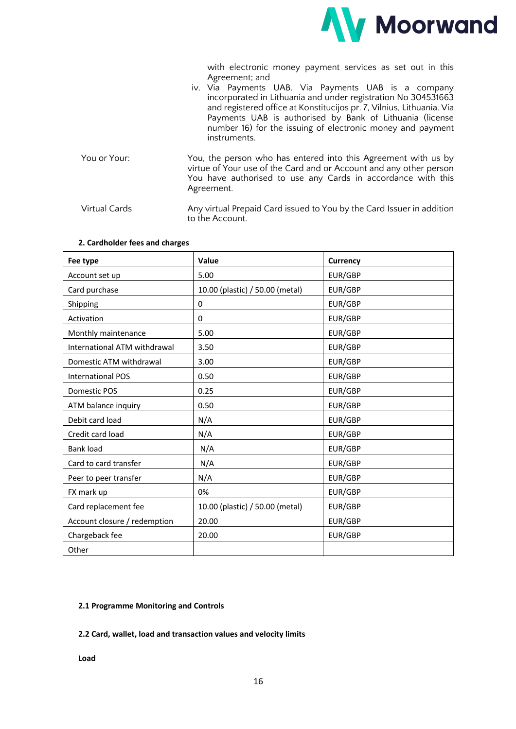

with electronic money payment services as set out in this Agreement; and

- iv. Via Payments UAB. Via Payments UAB is a company incorporated in Lithuania and under registration No 304531663 and registered office at Konstitucijos pr. 7, Vilnius, Lithuania. Via Payments UAB is authorised by Bank of Lithuania (license number 16) for the issuing of electronic money and payment instruments. You or Your: You, the person who has entered into this Agreement with us by virtue of Your use of the Card and or Account and any other person You have authorised to use any Cards in accordance with this Agreement.
- Virtual Cards Any virtual Prepaid Card issued to You by the Card Issuer in addition to the Account.

| Fee type                     | Value                           | <b>Currency</b> |
|------------------------------|---------------------------------|-----------------|
| Account set up               | 5.00                            | EUR/GBP         |
| Card purchase                | 10.00 (plastic) / 50.00 (metal) | EUR/GBP         |
| Shipping                     | $\mathbf 0$                     | EUR/GBP         |
| Activation                   | 0                               | EUR/GBP         |
| Monthly maintenance          | 5.00                            | EUR/GBP         |
| International ATM withdrawal | 3.50                            | EUR/GBP         |
| Domestic ATM withdrawal      | 3.00                            | EUR/GBP         |
| <b>International POS</b>     | 0.50                            | EUR/GBP         |
| Domestic POS                 | 0.25                            | EUR/GBP         |
| ATM balance inquiry          | 0.50                            | EUR/GBP         |
| Debit card load              | N/A                             | EUR/GBP         |
| Credit card load             | N/A                             | EUR/GBP         |
| <b>Bank load</b>             | N/A                             | EUR/GBP         |
| Card to card transfer        | N/A                             | EUR/GBP         |
| Peer to peer transfer        | N/A                             | EUR/GBP         |
| FX mark up                   | 0%                              | EUR/GBP         |
| Card replacement fee         | 10.00 (plastic) / 50.00 (metal) | EUR/GBP         |
| Account closure / redemption | 20.00                           | EUR/GBP         |
| Chargeback fee               | 20.00                           | EUR/GBP         |
| Other                        |                                 |                 |

#### **2. Cardholder fees and charges**

#### **2.1 Programme Monitoring and Controls**

#### **2.2 Card, wallet, load and transaction values and velocity limits**

**Load**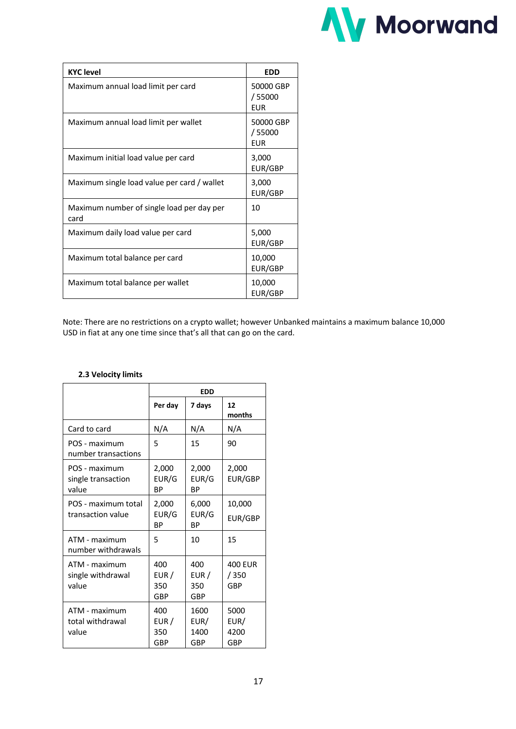

| <b>KYC</b> level                                  | <b>EDD</b>                        |
|---------------------------------------------------|-----------------------------------|
| Maximum annual load limit per card                | 50000 GBP<br>/ 55000<br>EUR       |
| Maximum annual load limit per wallet              | 50000 GBP<br>/55000<br><b>EUR</b> |
| Maximum initial load value per card               | 3,000<br>EUR/GBP                  |
| Maximum single load value per card / wallet       | 3,000<br>EUR/GBP                  |
| Maximum number of single load per day per<br>card | 10                                |
| Maximum daily load value per card                 | 5,000<br>EUR/GBP                  |
| Maximum total balance per card                    | 10,000<br>EUR/GBP                 |
| Maximum total balance per wallet                  | 10,000<br>EUR/GBP                 |

Note: There are no restrictions on a crypto wallet; however Unbanked maintains a maximum balance 10,000 USD in fiat at any one time since that's all that can go on the card.

|                                              | <b>EDD</b>                  |                             |                               |
|----------------------------------------------|-----------------------------|-----------------------------|-------------------------------|
|                                              | Per day                     | 7 days                      | 12<br>months                  |
| Card to card                                 | N/A                         | N/A                         | N/A                           |
| POS - maximum<br>number transactions         | 5                           | 15                          | 90                            |
| POS - maximum<br>single transaction<br>value | 2,000<br>EUR/G<br>BP        | 2,000<br>EUR/G<br>ВP        | 2,000<br>EUR/GBP              |
| POS - maximum total<br>transaction value     | 2,000<br>EUR/G<br><b>BP</b> | 6,000<br>EUR/G<br>ВP        | 10,000<br>EUR/GBP             |
| ATM - maximum<br>number withdrawals          | 5                           | 10                          | 15                            |
| ATM - maximum<br>single withdrawal<br>value  | 400<br>EUR /<br>350<br>GBP  | 400<br>EUR /<br>350<br>GBP  | <b>400 EUR</b><br>/350<br>GBP |
| ATM - maximum<br>total withdrawal<br>value   | 400<br>EUR/<br>350<br>GBP   | 1600<br>EUR/<br>1400<br>GBP | 5000<br>EUR/<br>4200<br>GBP   |

### **2.3 Velocity limits**